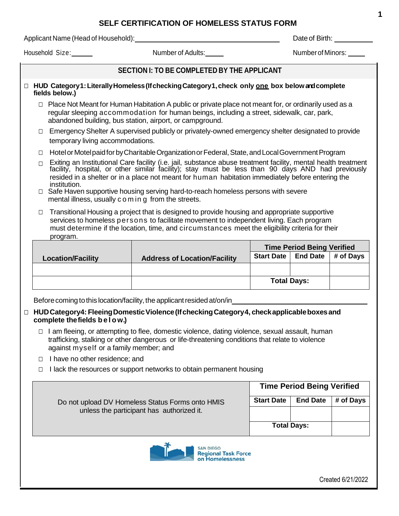## **SELF CERTIFICATION OF HOMELESS STATUS FORM**

Applicant Name (Head of Household): Date of Birth:

Household Size: Number of Adults: Number of Adults: Number of Minors: Number of Minors:

## **SECTION I: TO BE COMPLETED BY THE APPLICANT**

- □ **HUD Category1: Literally Homeless (If checking Category1, check only one box below and complete fields below.)**
	- □ Place Not Meant for Human Habitation A public or private place not meant for, or ordinarily used as a regular sleeping accommodation for human beings, including a street, sidewalk, car, park, abandoned building, bus station, airport, or campground.
	- □ Emergency Shelter A supervised publicly or privately-owned emergency shelter designated to provide temporary living accommodations.
	- □ Hotel or Motel paid for by Charitable Organization or Federal, State, and Local Government Program
	- □ Exiting an Institutional Care facility (i.e. jail, substance abuse treatment facility, mental health treatment facility, hospital, or other similar facility); stay must be less than 90 days AND had previously resided in a shelter or in a place not meant for human habitation immediately before entering the institution.
	- □ Safe Haven supportive housing serving hard-to-reach homeless persons with severe mental illness, usually c o m in g from the streets.
	- □ Transitional Housing a project that is designed to provide housing and appropriate supportive services to homeless persons to facilitate movement to independent living. Each program must determine if the location, time, and circumstances meet the eligibility criteria for their program.

|                          |                                     | <b>Time Period Being Verified</b> |                 |           |
|--------------------------|-------------------------------------|-----------------------------------|-----------------|-----------|
| <b>Location/Facility</b> | <b>Address of Location/Facility</b> | Start Date                        | <b>End Date</b> | # of Days |
|                          |                                     |                                   |                 |           |
|                          |                                     | <b>Total Days:</b>                |                 |           |

Before coming to this location/facility, the applicant resided at/on/in

- □ **HUDCategory4: FleeingDomesticViolence(IfcheckingCategory4, checkapplicableboxesand complete thefields b e l o w.)**
	- $\Box$  I am fleeing, or attempting to flee, domestic violence, dating violence, sexual assault, human trafficking, stalking or other dangerous or life-threatening conditions that relate to violence against myself or a family member; and
	- □ I have no other residence; and
	- □ I lack the resources or support networks to obtain permanent housing

|                                                  | <b>Time Period Being Verified</b> |                 |           |  |  |  |  |
|--------------------------------------------------|-----------------------------------|-----------------|-----------|--|--|--|--|
| Do not upload DV Homeless Status Forms onto HMIS | <b>Start Date</b>                 | <b>End Date</b> | # of Days |  |  |  |  |
| unless the participant has authorized it.        |                                   |                 |           |  |  |  |  |
|                                                  | <b>Total Days:</b>                |                 |           |  |  |  |  |
| $\sim$                                           |                                   |                 |           |  |  |  |  |



Created 6/21/2022